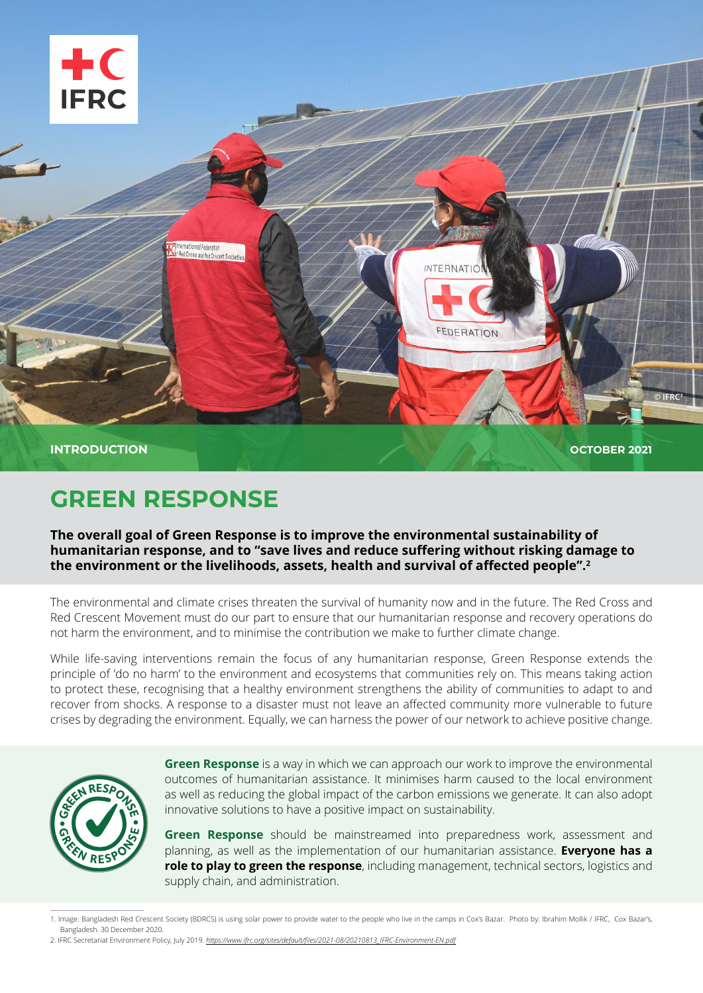

# **GREEN RESPONSE**

The overall goal of Green Response is to improve the environmental sustainability of humanitarian response, and to "save lives and reduce suffering without risking damage to the environment or the livelihoods, assets, health and survival of affected people".<sup>2</sup>

The environmental and climate crises threaten the survival of humanity now and in the future. The Red Cross and Red Crescent Movement must do our part to ensure that our humanitarian response and recovery operations do not harm the environment, and to minimise the contribution we make to further climate change.

While life-saving interventions remain the focus of any humanitarian response. Green Response extends the principle of 'do no harm' to the environment and ecosystems that communities rely on. This means taking action to protect these, recognising that a healthy environment strengthens the ability of communities to adapt to and recover from shocks. A response to a disaster must not leave an affected community more vulnerable to future crises by degrading the environment. Equally, we can harness the power of our network to achieve positive change.



**Green Response** is a way in which we can approach our work to improve the environmental outcomes of humanitarian assistance. It minimises harm caused to the local environment as well as reducing the global impact of the carbon emissions we generate. It can also adopt innovative solutions to have a positive impact on sustainability.

Green Response should be mainstreamed into preparedness work, assessment and planning, as well as the implementation of our humanitarian assistance. **Everyone has a role to play to green the response**, including management, technical sectors, logistics and supply chain, and administration.

<sup>1.</sup> Image: Bangladesh Red Crescent Society (BDRCS) is using solar power to provide water to the people who live in the camps in Cox's Bazar. Photo by: Ibrahim Mollik / IFRC, Cox Bazar's, Bangladesh. 30 December 2020.

<sup>2.</sup> IFRC Secretariat Environment Policy, July 2019. https://www.ifrc.org/sites/default/files/2021-08/20210813\_IFRC-Environment-EN.pdf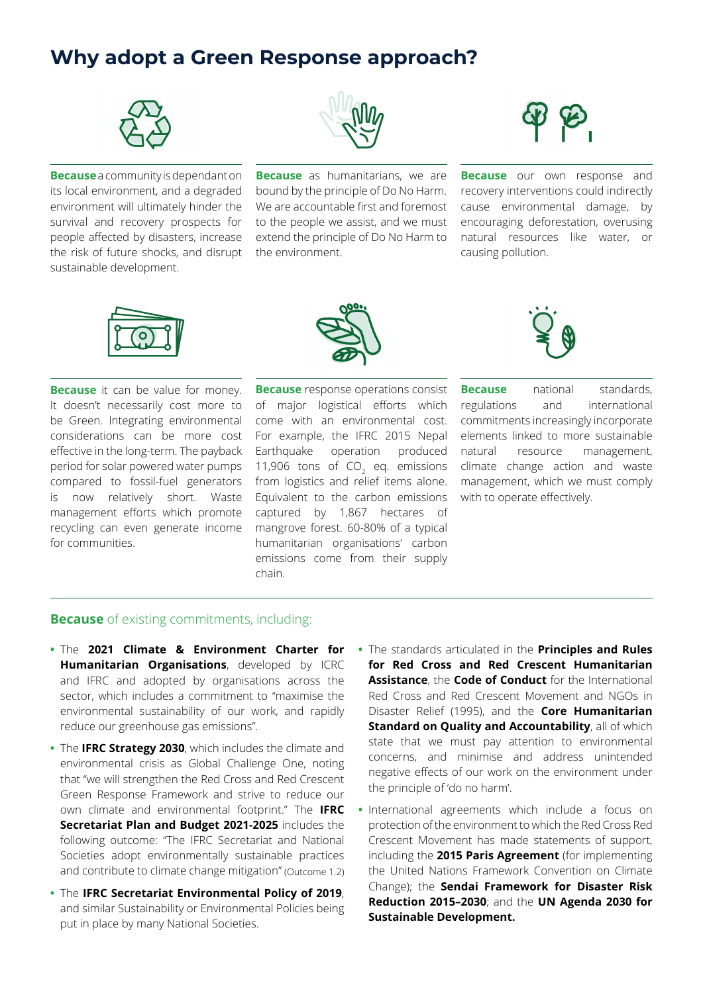#### **Why adopt a Green Response approach?**



**Because** a community is dependant on its local environment, and a degraded environment will ultimately hinder the survival and recovery prospects for people affected by disasters, increase the risk of future shocks, and disrupt sustainable development.



**Because** as humanitarians, we are bound by the principle of Do No Harm. We are accountable first and foremost to the people we assist, and we must extend the principle of Do No Harm to the environment.



**Because** our own response and recovery interventions could indirectly cause environmental damage, by encouraging deforestation, overusing natural resources like water, or causing pollution.



**Because** it can be value for money. It doesn't necessarily cost more to be Green. Integrating environmental considerations can be more cost effective in the long-term. The payback period for solar powered water pumps compared to fossil-fuel generators is now relatively short. Waste management efforts which promote recycling can even generate income for communities.



**Because** response operations consist of major logistical efforts which come with an environmental cost. For example, the IFRC 2015 Nepal Earthquake operation produced 11,906 tons of  $CO<sub>2</sub>$  eq. emissions from logistics and relief items alone. Equivalent to the carbon emissions captured by 1,867 hectares of mangrove forest. 60-80% of a typical humanitarian organisations' carbon emissions come from their supply .chain



**Because** national standards. regulations and international commitments increasingly incorporate elements linked to more sustainable natural resource management, climate change action and waste management, which we must comply with to operate effectively.

#### **Because** of existing commitments, including:

- **The 2021 Climate & Environment Charter for Humanitarian Organisations**, developed by ICRC and IFRC and adopted by organisations across the sector, which includes a commitment to "maximise the environmental sustainability of our work, and rapidly reduce our greenhouse gas emissions".
- The IFRC Strategy 2030, which includes the climate and environmental crisis as Global Challenge One, noting that "we will strengthen the Red Cross and Red Crescent Green Response Framework and strive to reduce our own climate and environmental footprint." The **IFRC** Secretariat Plan and Budget 2021-2025 includes the following outcome: "The IFRC Secretariat and National Societies adopt environmentally sustainable practices and contribute to climate change mitigation" (Outcome 1.2)
- **The IFRC Secretariat Environmental Policy of 2019,** and similar Sustainability or Environmental Policies being put in place by many National Societies.
- **•** The standards articulated in the **Principles and Rules** for Red Cross and Red Crescent Humanitarian **Assistance** the **Code of Conduct** for the International Red Cross and Red Crescent Movement and NGOs in Disaster Relief (1995), and the **Core Humanitarian** Standard on Quality and Accountability, all of which state that we must pay attention to environmental concerns, and minimise and address unintended negative effects of our work on the environment under the principle of 'do no harm'.
- International agreements which include a focus on protection of the environment to which the Red Cross Red Crescent Movement has made statements of support, including the 2015 Paris Agreement (for implementing the United Nations Framework Convention on Climate Change); the **Sendai Framework for Disaster Risk Reduction 2015-2030**; and the UN Agenda 2030 for **Sustainable Development.**